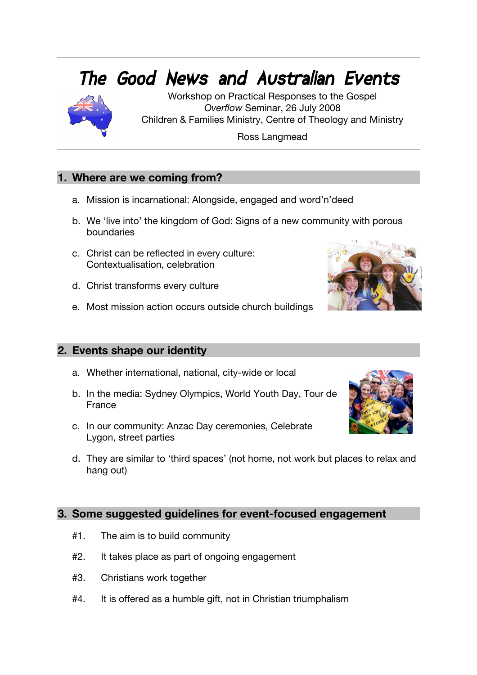# **The Good News and Australian Events**



Workshop on Practical Responses to the Gospel *Overflow* Seminar, 26 July 2008 Children & Families Ministry, Centre of Theology and Ministry

Ross Langmead

# **1. Where are we coming from?**

- a. Mission is incarnational: Alongside, engaged and word'n'deed
- b. We 'live into' the kingdom of God: Signs of a new community with porous boundaries
- c. Christ can be reflected in every culture: Contextualisation, celebration
- d. Christ transforms every culture
- e. Most mission action occurs outside church buildings

# **2. Events shape our identity**

- a. Whether international, national, city-wide or local
- b. In the media: Sydney Olympics, World Youth Day, Tour de France
- c. In our community: Anzac Day ceremonies, Celebrate Lygon, street parties
- d. They are similar to 'third spaces' (not home, not work but places to relax and hang out)

## **3. Some suggested guidelines for event-focused engagement**

- #1. The aim is to build community
- #2. It takes place as part of ongoing engagement
- #3. Christians work together
- #4. It is offered as a humble gift, not in Christian triumphalism

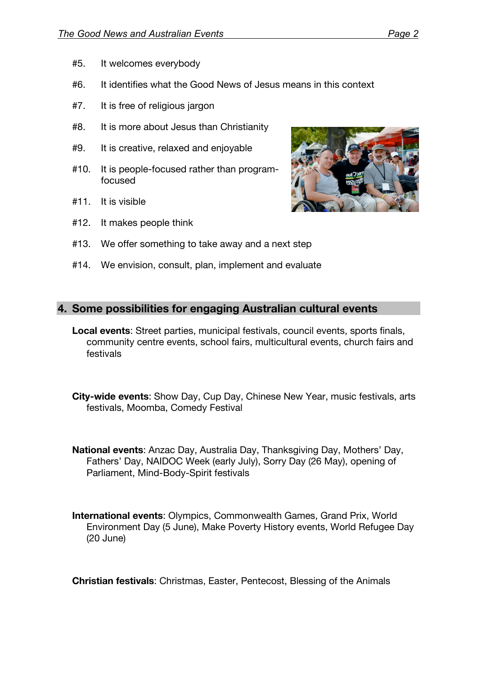- #5. It welcomes everybody
- #6. It identifies what the Good News of Jesus means in this context
- #7. It is free of religious jargon
- #8. It is more about Jesus than Christianity
- #9. It is creative, relaxed and enjoyable
- #10. It is people-focused rather than programfocused
- #11. It is visible
- #12. It makes people think



#14. We envision, consult, plan, implement and evaluate

### **4. Some possibilities for engaging Australian cultural events**

- **Local events**: Street parties, municipal festivals, council events, sports finals, community centre events, school fairs, multicultural events, church fairs and festivals
- **City-wide events**: Show Day, Cup Day, Chinese New Year, music festivals, arts festivals, Moomba, Comedy Festival
- **National events**: Anzac Day, Australia Day, Thanksgiving Day, Mothers' Day, Fathers' Day, NAIDOC Week (early July), Sorry Day (26 May), opening of Parliament, Mind-Body-Spirit festivals
- **International events**: Olympics, Commonwealth Games, Grand Prix, World Environment Day (5 June), Make Poverty History events, World Refugee Day (20 June)

**Christian festivals**: Christmas, Easter, Pentecost, Blessing of the Animals

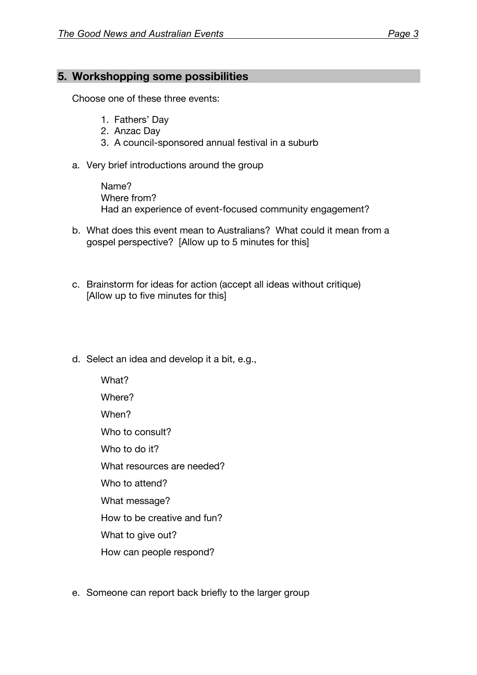## **5. Workshopping some possibilities**

Choose one of these three events:

- 1. Fathers' Day
- 2. Anzac Day
- 3. A council-sponsored annual festival in a suburb
- a. Very brief introductions around the group

Name? Where from? Had an experience of event-focused community engagement?

- b. What does this event mean to Australians? What could it mean from a gospel perspective? [Allow up to 5 minutes for this]
- c. Brainstorm for ideas for action (accept all ideas without critique) [Allow up to five minutes for this]
- d. Select an idea and develop it a bit, e.g.,
	- What? Where? When? Who to consult? Who to do it? What resources are needed? Who to attend? What message? How to be creative and fun? What to give out? How can people respond?
- e. Someone can report back briefly to the larger group